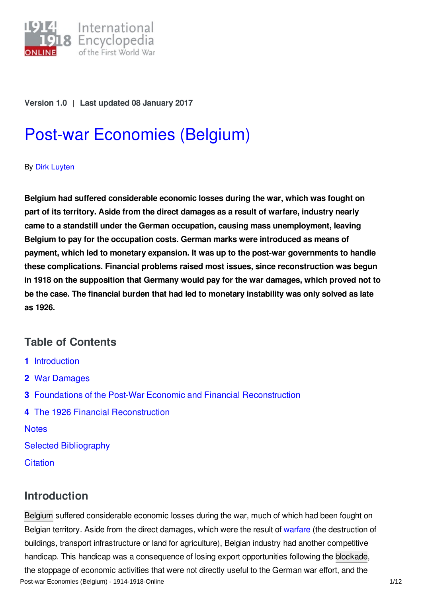

**Version 1.0** | **Last updated 08 January 2017**

# Post-war [Economies](http://encyclopedia.1914-1918-online.net/article/post-war_economies_belgium) (Belgium)

#### By Dirk [Luyten](http://encyclopedia.1914-1918-online.net/contributors/Dirk_Luyten)

**Belgium had suffered considerable economic losses during the war, which was fought on part of its territory. Aside from the direct damages as a result of warfare, industry nearly came to a standstill under the German occupation, causing mass unemployment, leaving Belgium to pay for the occupation costs. German marks were introduced as means of payment, which led to monetary expansion. It was up to the post-war governments to handle these complications. Financial problems raised most issues, since reconstruction was begun in 1918 on the supposition that Germany would pay for the war damages, which proved not to be the case. The financial burden that had led to monetary instability was only solved as late as 1926.**

## **Table of Contents**

- **1** [Introduction](#page-0-0)
- **2** War [Damages](#page-1-0)
- **3** Foundations of the Post-War Economic and Financial [Reconstruction](#page-3-0)
- **4** The 1926 Financial [Reconstruction](#page-7-0)

**[Notes](#page-8-0)** 

Selected [Bibliography](#page-10-0)

**[Citation](#page-11-0)** 

## <span id="page-0-0"></span>**Introduction**

[Belgium](http://encyclopedia.1914-1918-online.net/article/belgium) suffered considerable economic losses during the war, much of which had been fought on Belgian territory. Aside from the direct damages, which were the result of [warfare](http://encyclopedia.1914-1918-online.net/article/warfare_1914-1918_belgium) (the destruction of buildings, transport infrastructure or land for agriculture), Belgian industry had another competitive handicap. This handicap was a consequence of losing export opportunities following the [blockade](http://encyclopedia.1914-1918-online.net/article/naval_blockade_of_germany), the stoppage of economic activities that were not directly useful to the German war effort, and the Post-war Economies (Belgium) - 1914-1918-Online 1/12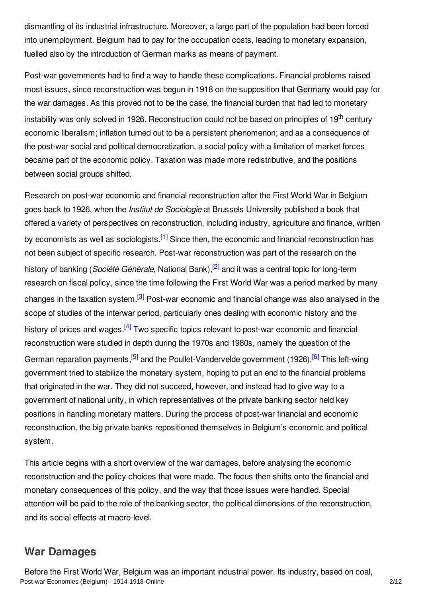dismantling of its industrial infrastructure. Moreover, a large part of the population had been forced into unemployment. Belgium had to pay for the occupation costs, leading to monetary expansion, fuelled also by the introduction of German marks as means of payment.

Post-war governments had to find a way to handle these complications. Financial problems raised most issues, since reconstruction was begun in 1918 on the supposition that [Germany](http://encyclopedia.1914-1918-online.net/article/germany) would pay for the war damages. As this proved not to be the case, the financial burden that had led to monetary instability was only solved in 1926. Reconstruction could not be based on principles of 19<sup>th</sup> century economic liberalism; inflation turned out to be a persistent phenomenon; and as a consequence of the post-war social and political democratization, a social policy with a limitation of market forces became part of the economic policy. Taxation was made more redistributive, and the positions between social groups shifted.

<span id="page-1-4"></span><span id="page-1-3"></span><span id="page-1-2"></span><span id="page-1-1"></span>Research on post-war economic and financial reconstruction after the First World War in Belgium goes back to 1926, when the *Institut de Sociologie* at Brussels University published a book that offered a variety of perspectives on reconstruction, including industry, agriculture and finance, written by economists as well as sociologists.<sup>[\[1\]](#page-8-1)</sup> Since then, the economic and financial reconstruction has not been subject of specific research. Post-war reconstruction was part of the research on the history of banking (*Société Générale*, National Bank), [\[2\]](#page-8-2) and it was a central topic for long-term research on fiscal policy, since the time following the First World War was a period marked by many changes in the taxation system.<sup>[\[3\]](#page-8-3)</sup> Post-war economic and financial change was also analysed in the scope of studies of the interwar period, particularly ones dealing with economic history and the history of prices and wages.<sup>[\[4\]](#page-8-4)</sup> Two specific topics relevant to post-war economic and financial reconstruction were studied in depth during the 1970s and 1980s, namely the question of the German reparation payments,<sup>[\[5\]](#page-9-0)</sup> and the Poullet-Vandervelde government (1926).<sup>[\[6\]](#page-9-1)</sup> This left-wing government tried to stabilize the monetary system, hoping to put an end to the financial problems that originated in the war. They did not succeed, however, and instead had to give way to a government of national unity, in which representatives of the private banking sector held key positions in handling monetary matters. During the process of post-war financial and economic reconstruction, the big private banks repositioned themselves in Belgium's economic and political system.

<span id="page-1-6"></span><span id="page-1-5"></span>This article begins with a short overview of the war damages, before analysing the economic reconstruction and the policy choices that were made. The focus then shifts onto the financial and monetary consequences of this policy, and the way that those issues were handled. Special attention will be paid to the role of the banking sector, the political dimensions of the reconstruction, and its social effects at macro-level.

### <span id="page-1-0"></span>**War Damages**

Before the First World War, Belgium was an important industrial power. Its industry, based on coal, Post-war Economies (Belgium) - 1914-1918-Online 2/12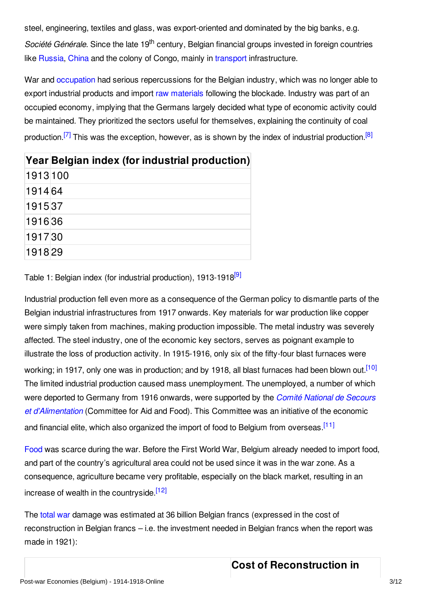steel, engineering, textiles and glass, was export-oriented and dominated by the big banks, e.g. Société Générale. Since the late 19<sup>th</sup> century, Belgian financial groups invested in foreign countries like [Russia](http://encyclopedia.1914-1918-online.net/article/russian_empire), [China](http://encyclopedia.1914-1918-online.net/article/china) and the colony of Congo, mainly in [transport](http://encyclopedia.1914-1918-online.net/article/transportation_and_logistics) infrastructure.

War and [occupation](http://encyclopedia.1914-1918-online.net/article/occupation_during_the_war_belgium_and_france) had serious repercussions for the Belgian industry, which was no longer able to export industrial products and import raw [materials](http://encyclopedia.1914-1918-online.net/article/raw_materials) following the blockade. Industry was part of an occupied economy, implying that the Germans largely decided what type of economic activity could be maintained. They prioritized the sectors useful for themselves, explaining the continuity of coal production.<sup>[\[7\]](#page-9-2)</sup> This was the exception, however, as is shown by the index of industrial production.<sup>[\[8\]](#page-9-3)</sup>

<span id="page-2-1"></span><span id="page-2-0"></span>

|          | Year Belgian index (for industrial production) |
|----------|------------------------------------------------|
| 1913 100 |                                                |
| 1914 64  |                                                |
| 191537   |                                                |
| 191636   |                                                |
| 191730   |                                                |
| 191829   |                                                |

<span id="page-2-2"></span>Table 1: Belgian index (for industrial production), 1913-1918<sup>[\[9\]](#page-9-4)</sup>

Industrial production fell even more as a consequence of the German policy to dismantle parts of the Belgian industrial infrastructures from 1917 onwards. Key materials for war production like copper were simply taken from machines, making production impossible. The metal industry was severely affected. The steel industry, one of the economic key sectors, serves as poignant example to illustrate the loss of production activity. In 1915-1916, only six of the fifty-four blast furnaces were working; in 1917, only one was in production; and by 1918, all blast furnaces had been blown out.<sup>[\[10\]](#page-9-5)</sup> The limited industrial production caused mass unemployment. The unemployed, a number of which were deported to Germany from 1916 onwards, were supported by the *Comité National de Secours et [d'Alimentation](http://encyclopedia.1914-1918-online.net/article/comite_national_de_secours_et_dalimentation)* (Committee for Aid and Food). This Committee was an initiative of the economic and financial elite, which also organized the import of food to Belgium from overseas [\[11\]](#page-9-6)

[Food](http://encyclopedia.1914-1918-online.net/article/food_and_nutrition_belgium) was scarce during the war. Before the First World War, Belgium already needed to import food, and part of the country's agricultural area could not be used since it was in the war zone. As a consequence, agriculture became very profitable, especially on the black market, resulting in an increase of wealth in the countryside.<sup>[\[12\]](#page-9-7)</sup>

The [total](http://encyclopedia.1914-1918-online.net/article/controversy_total_war) war damage was estimated at 36 billion Belgian francs (expressed in the cost of reconstruction in Belgian francs – i.e. the investment needed in Belgian francs when the report was made in 1921):

# <span id="page-2-5"></span><span id="page-2-4"></span><span id="page-2-3"></span>**Cost of Reconstruction in**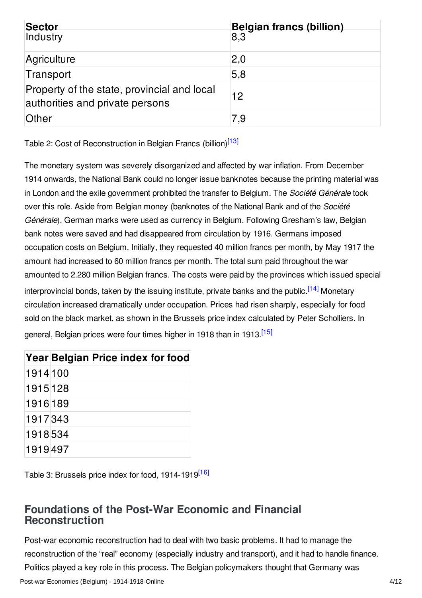| Sector<br>Industry                                                             | Belgian francs (billion)<br>8.3 |
|--------------------------------------------------------------------------------|---------------------------------|
| Agriculture                                                                    | 2,0                             |
| Transport                                                                      | 5,8                             |
| Property of the state, provincial and local<br>authorities and private persons | 12                              |
| Other                                                                          | 7,9                             |

<span id="page-3-1"></span>Table 2: Cost of Reconstruction in Belgian Francs (billion)<sup>[\[13\]](#page-9-8)</sup>

The monetary system was severely disorganized and affected by war inflation. From December 1914 onwards, the National Bank could no longer issue banknotes because the printing material was in London and the exile government prohibited the transfer to Belgium. The *Société Générale* took over this role. Aside from Belgian money (banknotes of the National Bank and of the *Société Générale*), German marks were used as currency in Belgium. Following Gresham's law, Belgian bank notes were saved and had disappeared from circulation by 1916. Germans imposed occupation costs on Belgium. Initially, they requested 40 million francs per month, by May 1917 the amount had increased to 60 million francs per month. The total sum paid throughout the war amounted to 2.280 million Belgian francs. The costs were paid by the provinces which issued special interprovincial bonds, taken by the issuing institute, private banks and the public.<sup>[\[14\]](#page-9-9)</sup> Monetary circulation increased dramatically under occupation. Prices had risen sharply, especially for food sold on the black market, as shown in the Brussels price index calculated by Peter Scholliers. In general, Belgian prices were four times higher in 1918 than in 1913 [<sup>15]</sup>

<span id="page-3-3"></span><span id="page-3-2"></span>

|          | Year Belgian Price index for food |
|----------|-----------------------------------|
| 1914 100 |                                   |
| 1915 128 |                                   |
| 1916189  |                                   |
| 1917343  |                                   |
| 1918534  |                                   |
| 1919497  |                                   |

<span id="page-3-4"></span>Table 3: Brussels price index for food, 1914-1919<sup>[\[16\]](#page-9-11)</sup>

# <span id="page-3-0"></span>**Foundations of the Post-War Economic and Financial Reconstruction**

Post-war economic reconstruction had to deal with two basic problems. It had to manage the reconstruction of the "real" economy (especially industry and transport), and it had to handle finance. Politics played a key role in this process. The Belgian policymakers thought that Germany was

Post-war Economies (Belgium) - 1914-1918-Online 4/12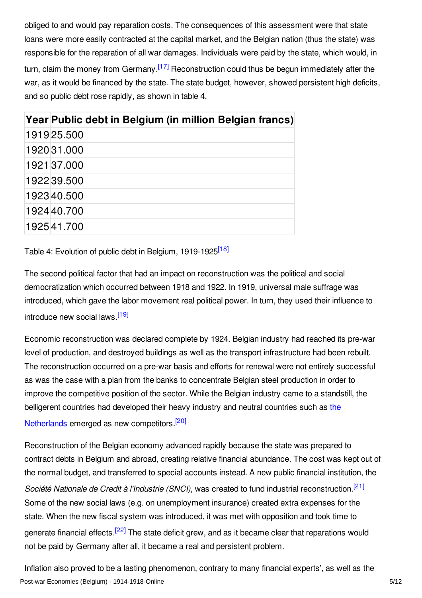<span id="page-4-0"></span>obliged to and would pay reparation costs. The consequences of this assessment were that state loans were more easily contracted at the capital market, and the Belgian nation (thus the state) was responsible for the reparation of all war damages. Individuals were paid by the state, which would, in turn, claim the money from Germany.<sup>[\[17\]](#page-9-12)</sup> Reconstruction could thus be begun immediately after the war, as it would be financed by the state. The state budget, however, showed persistent high deficits, and so public debt rose rapidly, as shown in table 4.

| Year Public debt in Belgium (in million Belgian francs) |
|---------------------------------------------------------|
| 1919 25.500                                             |
| 192031.000                                              |
| 1921 37.000                                             |
| 1922 39.500                                             |
| 192340.500                                              |
| 192440.700                                              |
| 192541.700                                              |

<span id="page-4-1"></span>Table 4: Evolution of public debt in Belgium, 1919-1925<sup>[\[18\]](#page-9-13)</sup>

The second political factor that had an impact on reconstruction was the political and social democratization which occurred between 1918 and 1922. In 1919, universal male suffrage was introduced, which gave the labor movement real political power. In turn, they used their influence to introduce new social laws.<sup>[\[19\]](#page-9-14)</sup>

<span id="page-4-2"></span>Economic reconstruction was declared complete by 1924. Belgian industry had reached its pre-war level of production, and destroyed buildings as well as the transport infrastructure had been rebuilt. The reconstruction occurred on a pre-war basis and efforts for renewal were not entirely successful as was the case with a plan from the banks to concentrate Belgian steel production in order to improve the competitive position of the sector. While the Belgian industry came to a standstill, the belligerent countries had developed their heavy industry and neutral countries such as the

<span id="page-4-3"></span>Netherlands emerged as new [competitors.](http://encyclopedia.1914-1918-online.net/article/the_netherlands)<sup>[\[20\]](#page-9-15)</sup>

<span id="page-4-4"></span>Reconstruction of the Belgian economy advanced rapidly because the state was prepared to contract debts in Belgium and abroad, creating relative financial abundance. The cost was kept out of the normal budget, and transferred to special accounts instead. A new public financial institution, the *Société Nationale de Credit à l'Industrie (SNCI)*, was created to fund industrial reconstruction. [\[21\]](#page-9-16) Some of the new social laws (e.g. on unemployment insurance) created extra expenses for the state. When the new fiscal system was introduced, it was met with opposition and took time to generate financial effects.<sup>[\[22\]](#page-9-17)</sup> The state deficit grew, and as it became clear that reparations would not be paid by Germany after all, it became a real and persistent problem.

<span id="page-4-5"></span>Inflation also proved to be a lasting phenomenon, contrary to many financial experts', as well as the Post-war Economies (Belgium) - 1914-1918-Online 5/12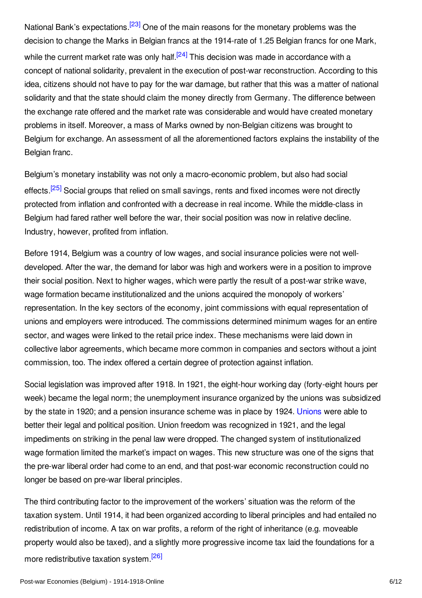<span id="page-5-1"></span><span id="page-5-0"></span>National Bank's expectations.<sup>[\[23\]](#page-9-18)</sup> One of the main reasons for the monetary problems was the decision to change the Marks in Belgian francs at the 1914-rate of 1.25 Belgian francs for one Mark, while the current market rate was only half.<sup>[\[24\]](#page-9-19)</sup> This decision was made in accordance with a concept of national solidarity, prevalent in the execution of post-war reconstruction. According to this idea, citizens should not have to pay for the war damage, but rather that this was a matter of national solidarity and that the state should claim the money directly from Germany. The difference between the exchange rate offered and the market rate was considerable and would have created monetary problems in itself. Moreover, a mass of Marks owned by non-Belgian citizens was brought to Belgium for exchange. An assessment of all the aforementioned factors explains the instability of the Belgian franc.

<span id="page-5-2"></span>Belgium's monetary instability was not only a macro-economic problem, but also had social effects.<sup>[\[25\]](#page-9-20)</sup> Social groups that relied on small savings, rents and fixed incomes were not directly protected from inflation and confronted with a decrease in real income. While the middle-class in Belgium had fared rather well before the war, their social position was now in relative decline. Industry, however, profited from inflation.

Before 1914, Belgium was a country of low wages, and social insurance policies were not welldeveloped. After the war, the demand for labor was high and workers were in a position to improve their social position. Next to higher wages, which were partly the result of a post-war strike wave, wage formation became institutionalized and the unions acquired the monopoly of workers' representation. In the key sectors of the economy, joint commissions with equal representation of unions and employers were introduced. The commissions determined minimum wages for an entire sector, and wages were linked to the retail price index. These mechanisms were laid down in collective labor agreements, which became more common in companies and sectors without a joint commission, too. The index offered a certain degree of protection against inflation.

Social legislation was improved after 1918. In 1921, the eight-hour working day (forty-eight hours per week) became the legal norm; the unemployment insurance organized by the unions was subsidized by the state in 1920; and a pension insurance scheme was in place by 1924. [Unions](http://encyclopedia.1914-1918-online.net/article/labour_movements_trade_unions_and_strikes_belgium) were able to better their legal and political position. Union freedom was recognized in 1921, and the legal impediments on striking in the penal law were dropped. The changed system of institutionalized wage formation limited the market's impact on wages. This new structure was one of the signs that the pre-war liberal order had come to an end, and that post-war economic reconstruction could no longer be based on pre-war liberal principles.

<span id="page-5-3"></span>The third contributing factor to the improvement of the workers' situation was the reform of the taxation system. Until 1914, it had been organized according to liberal principles and had entailed no redistribution of income. A tax on war profits, a reform of the right of inheritance (e.g. moveable property would also be taxed), and a slightly more progressive income tax laid the foundations for a more redistributive taxation system.<sup>[\[26\]](#page-9-21)</sup>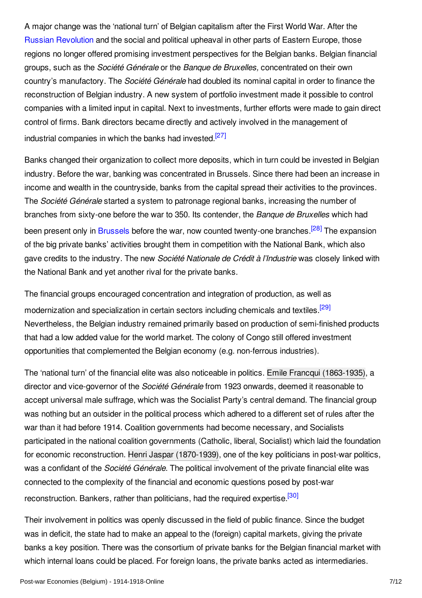A major change was the 'national turn' of Belgian capitalism after the First World War. After the Russian [Revolution](http://encyclopedia.1914-1918-online.net/article/revolutions_russian_empire) and the social and political upheaval in other parts of Eastern Europe, those regions no longer offered promising investment perspectives for the Belgian banks. Belgian financial groups, such as the *Société Générale* or the *Banque de Bruxelles,* concentrated on their own country's manufactory. The *Société Générale* had doubled its nominal capital in order to finance the reconstruction of Belgian industry. A new system of portfolio investment made it possible to control companies with a limited input in capital. Next to investments, further efforts were made to gain direct control of firms. Bank directors became directly and actively involved in the management of industrial companies in which the banks had invested.<sup>[\[27\]](#page-9-22)</sup>

<span id="page-6-0"></span>Banks changed their organization to collect more deposits, which in turn could be invested in Belgian industry. Before the war, banking was concentrated in Brussels. Since there had been an increase in income and wealth in the countryside, banks from the capital spread their activities to the provinces. The *Société Générale* started a system to patronage regional banks, increasing the number of branches from sixty-one before the war to 350. Its contender, the *Banque de Bruxelles* which had been present only in [Brussels](http://encyclopedia.1914-1918-online.net/article/brussels) before the war, now counted twenty-one branches.<sup>[\[28\]](#page-9-23)</sup> The expansion of the big private banks' activities brought them in competition with the National Bank, which also gave credits to the industry. The new *Société Nationale de Crédit à l'Industrie* was closely linked with the National Bank and yet another rival for the private banks.

<span id="page-6-2"></span><span id="page-6-1"></span>The financial groups encouraged concentration and integration of production, as well as modernization and specialization in certain sectors including chemicals and textiles <sup>[\[29\]](#page-10-1)</sup> Nevertheless, the Belgian industry remained primarily based on production of semi-finished products that had a low added value for the world market. The colony of Congo still offered investment opportunities that complemented the Belgian economy (e.g. non-ferrous industries).

The 'national turn' of the financial elite was also noticeable in politics. Emile Francqui [\(1863-1935\)](http://encyclopedia.1914-1918-online.net/index/names/133569136), a director and vice-governor of the *Société Générale* from 1923 onwards, deemed it reasonable to accept universal male suffrage, which was the Socialist Party's central demand. The financial group was nothing but an outsider in the political process which adhered to a different set of rules after the war than it had before 1914. Coalition governments had become necessary, and Socialists participated in the national coalition governments (Catholic, liberal, Socialist) which laid the foundation for economic reconstruction. Henri Jaspar [\(1870-1939\)](http://encyclopedia.1914-1918-online.net/index/names/124446701), one of the key politicians in post-war politics, was a confidant of the *Société Générale*. The political involvement of the private financial elite was connected to the complexity of the financial and economic questions posed by post-war reconstruction. Bankers, rather than politicians, had the required expertise.<sup>[\[30\]](#page-10-2)</sup>

<span id="page-6-3"></span>Their involvement in politics was openly discussed in the field of public finance. Since the budget was in deficit, the state had to make an appeal to the (foreign) capital markets, giving the private banks a key position. There was the consortium of private banks for the Belgian financial market with which internal loans could be placed. For foreign loans, the private banks acted as intermediaries.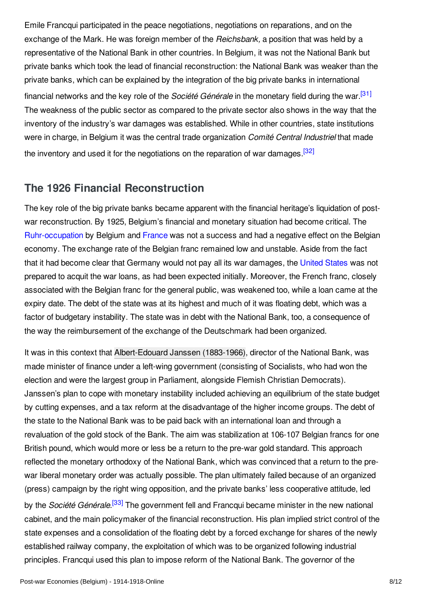<span id="page-7-1"></span>Emile Francqui participated in the peace negotiations, negotiations on reparations, and on the exchange of the Mark. He was foreign member of the *Reichsbank,* a position that was held by a representative of the National Bank in other countries. In Belgium, it was not the National Bank but private banks which took the lead of financial reconstruction: the National Bank was weaker than the private banks, which can be explained by the integration of the big private banks in international financial networks and the key role of the *Société Générale* in the monetary field during the war. [\[31\]](#page-10-3) The weakness of the public sector as compared to the private sector also shows in the way that the inventory of the industry's war damages was established. While in other countries, state institutions were in charge, in Belgium it was the central trade organization *Comité Central Industriel* that made the inventory and used it for the negotiations on the reparation of war damages.<sup>[\[32\]](#page-10-4)</sup>

## <span id="page-7-2"></span><span id="page-7-0"></span>**The 1926 Financial Reconstruction**

The key role of the big private banks became apparent with the financial heritage's liquidation of postwar reconstruction. By 1925, Belgium's financial and monetary situation had become critical. The [Ruhr-occupation](http://encyclopedia.1914-1918-online.net/article/ruhr_occupation) by Belgium and [France](http://encyclopedia.1914-1918-online.net/article/france) was not a success and had a negative effect on the Belgian economy. The exchange rate of the Belgian franc remained low and unstable. Aside from the fact that it had become clear that Germany would not pay all its war damages, the [United](http://encyclopedia.1914-1918-online.net/article/united_states_of_america) States was not prepared to acquit the war loans, as had been expected initially. Moreover, the French franc, closely associated with the Belgian franc for the general public, was weakened too, while a loan came at the expiry date. The debt of the state was at its highest and much of it was floating debt, which was a factor of budgetary instability. The state was in debt with the National Bank, too, a consequence of the way the reimbursement of the exchange of the Deutschmark had been organized.

<span id="page-7-3"></span>It was in this context that [Albert-Edouard](http://encyclopedia.1914-1918-online.net/index/names/133514757) Janssen (1883-1966), director of the National Bank, was made minister of finance under a left-wing government (consisting of Socialists, who had won the election and were the largest group in Parliament, alongside Flemish Christian Democrats). Janssen's plan to cope with monetary instability included achieving an equilibrium of the state budget by cutting expenses, and a tax reform at the disadvantage of the higher income groups. The debt of the state to the National Bank was to be paid back with an international loan and through a revaluation of the gold stock of the Bank. The aim was stabilization at 106-107 Belgian francs for one British pound, which would more or less be a return to the pre-war gold standard. This approach reflected the monetary orthodoxy of the National Bank, which was convinced that a return to the prewar liberal monetary order was actually possible. The plan ultimately failed because of an organized (press) campaign by the right wing opposition, and the private banks' less cooperative attitude, led by the *Société Générale*. [\[33\]](#page-10-5) The government fell and Francqui became minister in the new national cabinet, and the main policymaker of the financial reconstruction. His plan implied strict control of the state expenses and a consolidation of the floating debt by a forced exchange for shares of the newly established railway company, the exploitation of which was to be organized following industrial principles. Francqui used this plan to impose reform of the National Bank. The governor of the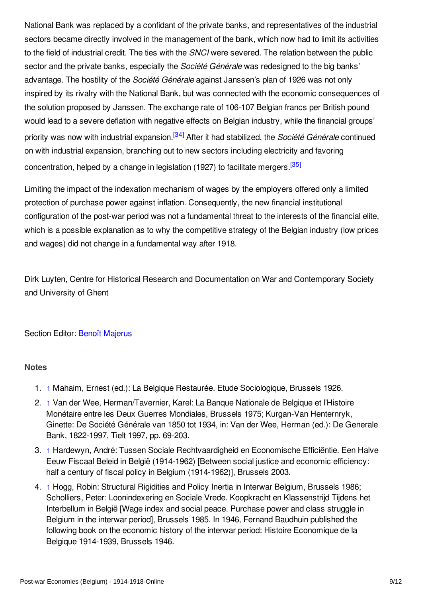National Bank was replaced by a confidant of the private banks, and representatives of the industrial sectors became directly involved in the management of the bank, which now had to limit its activities to the field of industrial credit. The ties with the *SNCI* were severed. The relation between the public sector and the private banks, especially the *Société Générale* was redesigned to the big banks' advantage. The hostility of the *Société Générale* against Janssen's plan of 1926 was not only inspired by its rivalry with the National Bank, but was connected with the economic consequences of the solution proposed by Janssen. The exchange rate of 106-107 Belgian francs per British pound would lead to a severe deflation with negative effects on Belgian industry, while the financial groups' priority was now with industrial expansion. [\[34\]](#page-10-6) After it had stabilized, the *Société Générale* continued on with industrial expansion, branching out to new sectors including electricity and favoring concentration, helped by a change in legislation (1927) to facilitate mergers <sup>[\[35\]](#page-10-7)</sup>

<span id="page-8-6"></span><span id="page-8-5"></span>Limiting the impact of the indexation mechanism of wages by the employers offered only a limited protection of purchase power against inflation. Consequently, the new financial institutional configuration of the post-war period was not a fundamental threat to the interests of the financial elite, which is a possible explanation as to why the competitive strategy of the Belgian industry (low prices and wages) did not change in a fundamental way after 1918.

Dirk Luyten, Centre for Historical Research and Documentation on War and Contemporary Society and University of Ghent

#### Section Editor: Benoît [Majerus](http://encyclopedia.1914-1918-online.net/contributors/Benoit_Majerus)

#### <span id="page-8-0"></span>**Notes**

- <span id="page-8-1"></span>1. [↑](#page-1-1) Mahaim, Ernest (ed.): La Belgique Restaurée. Etude Sociologique, Brussels 1926.
- <span id="page-8-2"></span>2. [↑](#page-1-2) Van der Wee, Herman/Tavernier, Karel: La Banque Nationale de Belgique et l'Histoire Monétaire entre les Deux Guerres Mondiales, Brussels 1975; Kurgan-Van Henternryk, Ginette: De Société Générale van 1850 tot 1934, in: Van der Wee, Herman (ed.): De Generale Bank, 1822-1997, Tielt 1997, pp. 69-203.
- <span id="page-8-3"></span>3. [↑](#page-1-3) Hardewyn, André: Tussen Sociale Rechtvaardigheid en Economische Efficiëntie. Een Halve Eeuw Fiscaal Beleid in België (1914-1962) [Between social justice and economic efficiency: half a century of fiscal policy in Belgium (1914-1962)], Brussels 2003.
- <span id="page-8-4"></span>4. [↑](#page-1-4) Hogg, Robin: Structural Rigidities and Policy Inertia in Interwar Belgium, Brussels 1986; Scholliers, Peter: Loonindexering en Sociale Vrede. Koopkracht en Klassenstrijd Tijdens het Interbellum in België [Wage index and social peace. Purchase power and class struggle in Belgium in the interwar period], Brussels 1985. In 1946, Fernand Baudhuin published the following book on the economic history of the interwar period: Histoire Economique de la Belgique 1914-1939, Brussels 1946.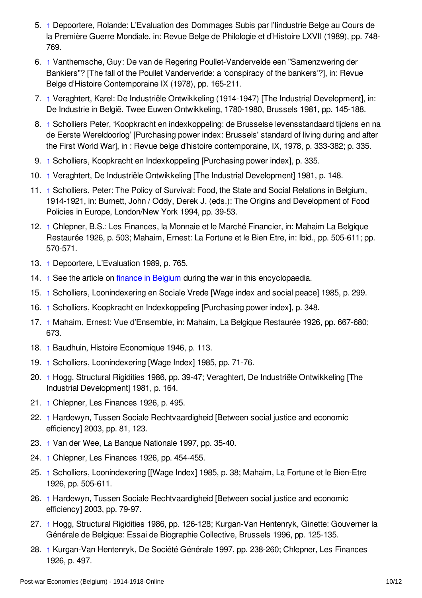- <span id="page-9-0"></span>5. [↑](#page-1-5) Depoortere, Rolande: L'Evaluation des Dommages Subis par l'Iindustrie Belge au Cours de la Première Guerre Mondiale, in: Revue Belge de Philologie et d'Histoire LXVII (1989), pp. 748- 769.
- <span id="page-9-1"></span>6. [↑](#page-1-6) Vanthemsche, Guy: De van de Regering Poullet-Vandervelde een "Samenzwering der Bankiers"? [The fall of the Poullet Vanderverlde: a 'conspiracy of the bankers'?], in: Revue Belge d'Histoire Contemporaine IX (1978), pp. 165-211.
- <span id="page-9-2"></span>7. [↑](#page-2-0) Veraghtert, Karel: De Industriële Ontwikkeling (1914-1947) [The Industrial Development], in: De Industrie in België. Twee Euwen Ontwikkeling, 1780-1980, Brussels 1981, pp. 145-188.
- <span id="page-9-3"></span>8. [↑](#page-2-1) Scholliers Peter, 'Koopkracht en indexkoppeling: de Brusselse levensstandaard tijdens en na de Eerste Wereldoorlog' [Purchasing power index: Brussels' standard of living during and after the First World War], in : Revue belge d'histoire contemporaine, IX, 1978, p. 333-382; p. 335.
- <span id="page-9-4"></span>9. [↑](#page-2-2) Scholliers, Koopkracht en Indexkoppeling [Purchasing power index], p. 335.
- <span id="page-9-5"></span>10. [↑](#page-2-3) Veraghtert, De Industriële Ontwikkeling [The Industrial Development] 1981, p. 148.
- <span id="page-9-6"></span>11. [↑](#page-2-4) Scholliers, Peter: The Policy of Survival: Food, the State and Social Relations in Belgium, 1914-1921, in: Burnett, John / Oddy, Derek J. (eds.): The Origins and Development of Food Policies in Europe, London/New York 1994, pp. 39-53.
- <span id="page-9-7"></span>12. [↑](#page-2-5) Chlepner, B.S.: Les Finances, la Monnaie et le Marché Financier, in: Mahaim La Belgique Restaurée 1926, p. 503; Mahaim, Ernest: La Fortune et le Bien Etre, in: Ibid., pp. 505-611; pp. 570-571.
- <span id="page-9-8"></span>13. [↑](#page-3-1) Depoortere, L'Evaluation 1989, p. 765.
- <span id="page-9-9"></span>14. [↑](#page-3-2) See the article on finance in [Belgium](http://encyclopedia.1914-1918-online.net/article/war_finance_belgium) during the war in this encyclopaedia.
- <span id="page-9-10"></span>15. [↑](#page-3-3) Scholliers, Loonindexering en Sociale Vrede [Wage index and social peace] 1985, p. 299.
- <span id="page-9-11"></span>16. [↑](#page-3-4) Scholliers, Koopkracht en Indexkoppeling [Purchasing power index], p. 348.
- <span id="page-9-12"></span>17. [↑](#page-4-0) Mahaim, Ernest: Vue d'Ensemble, in: Mahaim, La Belgique Restaurée 1926, pp. 667-680; 673.
- <span id="page-9-13"></span>18. [↑](#page-4-1) Baudhuin, Histoire Economique 1946, p. 113.
- <span id="page-9-14"></span>19. [↑](#page-4-2) Scholliers, Loonindexering [Wage Index] 1985, pp. 71-76.
- <span id="page-9-15"></span>20. [↑](#page-4-3) Hogg, Structural Rigidities 1986, pp. 39-47; Veraghtert, De Industriële Ontwikkeling [The Industrial Development] 1981, p. 164.
- <span id="page-9-16"></span>21. [↑](#page-4-4) Chlepner, Les Finances 1926, p. 495.
- <span id="page-9-17"></span>22. [↑](#page-4-5) Hardewyn, Tussen Sociale Rechtvaardigheid [Between social justice and economic efficiency] 2003, pp. 81, 123.
- <span id="page-9-18"></span>23. [↑](#page-5-0) Van der Wee, La Banque Nationale 1997, pp. 35-40.
- <span id="page-9-19"></span>24. [↑](#page-5-1) Chlepner, Les Finances 1926, pp. 454-455.
- <span id="page-9-20"></span>25. [↑](#page-5-2) Scholliers, Loonindexering [[Wage Index] 1985, p. 38; Mahaim, La Fortune et le Bien-Etre 1926, pp. 505-611.
- <span id="page-9-21"></span>26. [↑](#page-5-3) Hardewyn, Tussen Sociale Rechtvaardigheid [Between social justice and economic efficiency] 2003, pp. 79-97.
- <span id="page-9-22"></span>27. [↑](#page-6-0) Hogg, Structural Rigidities 1986, pp. 126-128; Kurgan-Van Hentenryk, Ginette: Gouverner la Générale de Belgique: Essai de Biographie Collective, Brussels 1996, pp. 125-135.
- <span id="page-9-23"></span>28. [↑](#page-6-1) Kurgan-Van Hentenryk, De Société Générale 1997, pp. 238-260; Chlepner, Les Finances 1926, p. 497.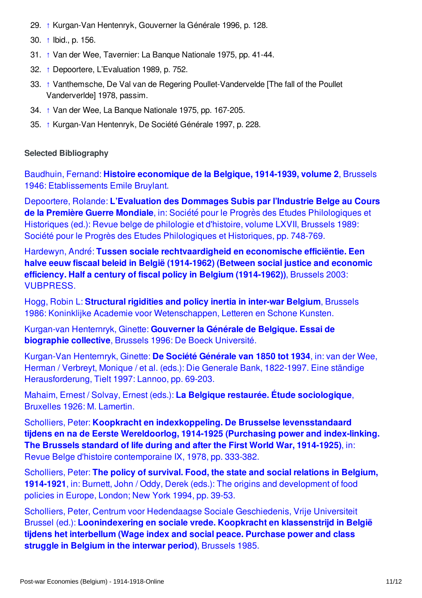- <span id="page-10-1"></span>29. [↑](#page-6-2) Kurgan-Van Hentenryk, Gouverner la Générale 1996, p. 128.
- <span id="page-10-2"></span>30. [↑](#page-6-3) Ibid., p. 156.
- <span id="page-10-3"></span>31. [↑](#page-7-1) Van der Wee, Tavernier: La Banque Nationale 1975, pp. 41-44.
- <span id="page-10-4"></span>32. [↑](#page-7-2) Depoortere, L'Evaluation 1989, p. 752.
- <span id="page-10-5"></span>33. [↑](#page-7-3) Vanthemsche, De Val van de Regering Poullet-Vandervelde [The fall of the Poullet Vanderverlde] 1978, passim.
- <span id="page-10-6"></span>34. [↑](#page-8-5) Van der Wee, La Banque Nationale 1975, pp. 167-205.
- <span id="page-10-7"></span>35. [↑](#page-8-6) Kurgan-Van Hentenryk, De Société Générale 1997, p. 228.

#### <span id="page-10-0"></span>**Selected Bibliography**

Baudhuin, Fernand: **Histoire economique de la Belgique, 1914-1939, volume 2**, Brussels 1946: [Etablissements](http://encyclopedia.1914-1918-online.net/bibliography/US5GB6EW) Emile Bruylant.

Depoortere, Rolande: **L'Evaluation des Dommages Subis par l'Industrie Belge au Cours de la Première Guerre Mondiale**, in: Sociétépour le Progrès des Études [Philologiques](http://encyclopedia.1914-1918-online.net/bibliography/7MUH5N6J) et Historiques (ed.): Revue belge de philologie et d'histoire, volume LXVII, Brussels 1989: Société pour le Progrès des Etudes Philologiques et Historiques, pp. 748-769.

Hardewyn, André: **Tussen sociale [rechtvaardigheid](http://encyclopedia.1914-1918-online.net/bibliography/EBFWG9DM) en economische efficiëntie. Een halve eeuw fiscaal beleid in België (1914-1962) (Between social justice and economic efficiency. Half a century of fiscal policy in Belgium (1914-1962))**, Brussels 2003: VUBPRESS.

Hogg, Robin L: **Structural rigidities and policy inertia in inter-war Belgium**, Brussels 1986: Koninklijke Academie voor [Wetenschappen,](http://encyclopedia.1914-1918-online.net/bibliography/SUA7XQQJ) Letteren en Schone Kunsten.

[Kurgan-van](http://encyclopedia.1914-1918-online.net/bibliography/3PFGEPZZ) Henternryk, Ginette: **Gouverner la Générale de Belgique. Essai de biographie collective**, Brussels 1996: De Boeck Université.

Kurgan-Van Henternryk, Ginette: **De Société Générale van 1850 tot 1934**, in: van der Wee, Herman / Verbreyt, Monique / et al. (eds.): Die Generale Bank, 1822-1997. Eine ständige [Herausforderung,](http://encyclopedia.1914-1918-online.net/bibliography/EBUJ9F7N) Tielt 1997: Lannoo, pp. 69-203.

Mahaim, Ernest / Solvay, Ernest (eds.): **La Belgique restaurée. Étude [sociologique](http://encyclopedia.1914-1918-online.net/bibliography/UDXPX2ER)**, Bruxelles 1926: M. Lamertin.

Scholliers, Peter: **Koopkracht en indexkoppeling. De Brusselse [levensstandaard](http://encyclopedia.1914-1918-online.net/bibliography/79EHHSWB) tijdens en na de Eerste Wereldoorlog, 1914-1925 (Purchasing power and index-linking. The Brussels standard of life during and after the First World War, 1914-1925)**, in: Revue Belge d'histoire contemporaine IX, 1978, pp. 333-382.

Scholliers, Peter: **The policy of survival. Food, the state and social relations in Belgium, 1914-1921**, in: Burnett, John / Oddy, Derek (eds.): The origins and [development](http://encyclopedia.1914-1918-online.net/bibliography/7VND7EEJ) of food policies in Europe, London; New York 1994, pp. 39-53.

Scholliers, Peter, Centrum voor Hedendaagse Sociale Geschiedenis, Vrije Universiteit Brussel (ed.): **[Loonindexering](http://encyclopedia.1914-1918-online.net/bibliography/6XDWDCCT) en sociale vrede. Koopkracht en klassenstrijd in België tijdens het interbellum (Wage index and social peace. Purchase power and class struggle in Belgium in the interwar period)**, Brussels 1985.